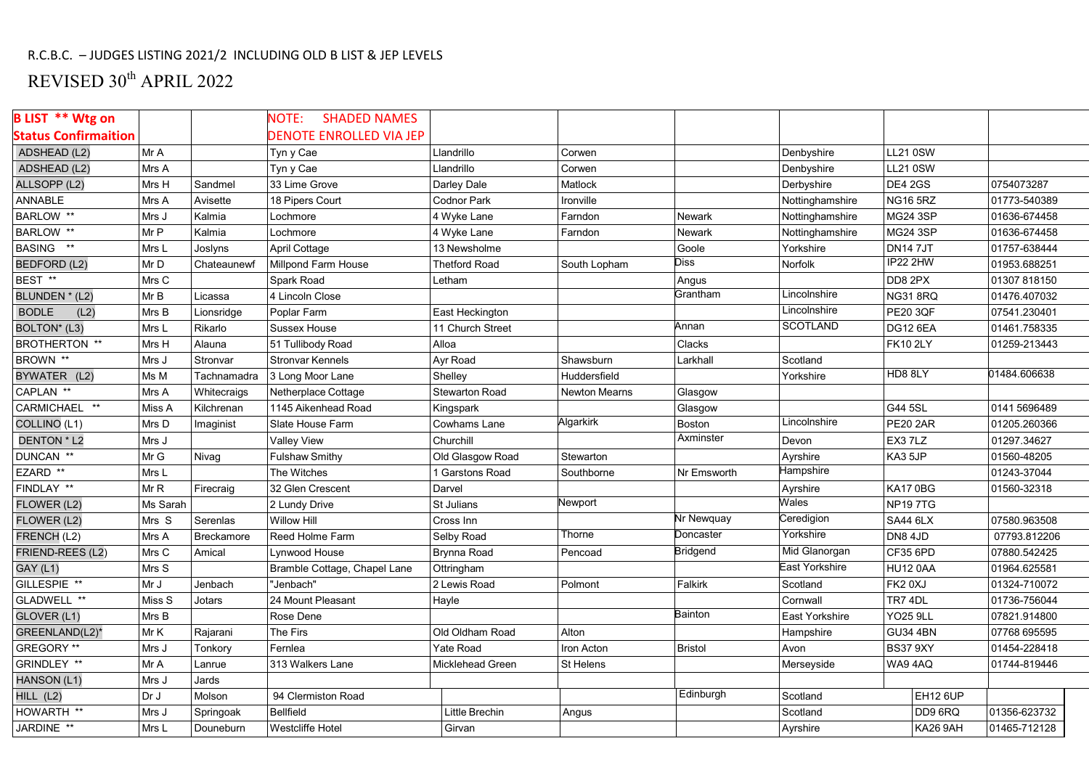## R.C.B.C. – JUDGES LISTING 2021/2 INCLUDING OLD B LIST & JEP LEVELS

## REVISED 30<sup>th</sup> APRIL 2022

| <b>B LIST ** Wtg on</b>     |          |             | NOTE:<br><b>SHADED NAMES</b>   |                      |               |                 |                 |                 |              |
|-----------------------------|----------|-------------|--------------------------------|----------------------|---------------|-----------------|-----------------|-----------------|--------------|
| <b>Status Confirmaition</b> |          |             | <b>DENOTE ENROLLED VIA JEP</b> |                      |               |                 |                 |                 |              |
| ADSHEAD (L2)                | Mr A     |             | Tyn y Cae                      | Llandrillo           | Corwen        |                 | Denbyshire      | <b>LL21 0SW</b> |              |
| ADSHEAD (L2)                | Mrs A    |             | Tyn y Cae                      | Llandrillo           | Corwen        |                 | Denbyshire      | <b>LL21 0SW</b> |              |
| ALLSOPP (L2)                | Mrs H    | Sandmel     | 33 Lime Grove                  | Darley Dale          | Matlock       |                 | Derbyshire      | DE4 2GS         | 0754073287   |
| <b>ANNABLE</b>              | Mrs A    | Avisette    | 18 Pipers Court                | Codnor Park          | Ironville     |                 | Nottinghamshire | <b>NG16 5RZ</b> | 01773-540389 |
| BARLOW **                   | Mrs J    | Kalmia      | Lochmore                       | 4 Wyke Lane          | Farndon       | Newark          | Nottinghamshire | <b>MG24 3SP</b> | 01636-674458 |
| BARLOW **                   | Mr P     | Kalmia      | Lochmore                       | 4 Wyke Lane          | Farndon       | <b>Newark</b>   | Nottinghamshire | <b>MG24 3SP</b> | 01636-674458 |
| BASING **                   | Mrs L    | Joslyns     | April Cottage                  | 13 Newsholme         |               | Goole           | Yorkshire       | <b>DN147JT</b>  | 01757-638444 |
| BEDFORD (L2)                | Mr D     | Chateaunewf | Millpond Farm House            | <b>Thetford Road</b> | South Lopham  | <b>Diss</b>     | Norfolk         | <b>IP22 2HW</b> | 01953.688251 |
| BEST **                     | Mrs C    |             | Spark Road                     | Letham               |               | Angus           |                 | DD8 2PX         | 01307818150  |
| BLUNDEN * (L2)              | Mr B     | Licassa     | 4 Lincoln Close                |                      |               | Grantham        | Lincolnshire    | NG318RQ         | 01476.407032 |
| <b>BODLE</b><br>(L2)        | Mrs B    | Lionsridge  | Poplar Farm                    | East Heckington      |               |                 | Lincolnshire    | <b>PE20 3QF</b> | 07541.230401 |
| BOLTON* (L3)                | Mrs L    | Rikarlo     | Sussex House                   | 11 Church Street     |               | Annan           | <b>SCOTLAND</b> | <b>DG12 6EA</b> | 01461.758335 |
| <b>BROTHERTON **</b>        | Mrs H    | Alauna      | 51 Tullibody Road              | Alloa                |               | Clacks          |                 | <b>FK10 2LY</b> | 01259-213443 |
| BROWN <sup>**</sup>         | Mrs J    | Stronvar    | <b>Stronvar Kennels</b>        | Ayr Road             | Shawsburn     | Larkhall        | Scotland        |                 |              |
| BYWATER (L2)                | Ms M     | Tachnamadra | 3 Long Moor Lane               | Shelley              | Huddersfield  |                 | Yorkshire       | HD8 8LY         | 01484.606638 |
| CAPLAN **                   | Mrs A    | Whitecraigs | Netherplace Cottage            | Stewarton Road       | Newton Mearns | Glasgow         |                 |                 |              |
| CARMICHAEL **               | Miss A   | Kilchrenan  | 1145 Aikenhead Road            | Kingspark            |               | Glasgow         |                 | G44 5SL         | 0141 5696489 |
| COLLINO (L1)                | Mrs D    | Imaginist   | Slate House Farm               | Cowhams Lane         | Algarkirk     | Boston          | Lincolnshire    | <b>PE20 2AR</b> | 01205.260366 |
| DENTON * L2                 | Mrs J    |             | <b>Valley View</b>             | Churchill            |               | Axminster       | Devon           | EX3 7LZ         | 01297.34627  |
| DUNCAN **                   | Mr G     | Nivag       | <b>Fulshaw Smithy</b>          | Old Glasgow Road     | Stewarton     |                 | Ayrshire        | KA3 5JP         | 01560-48205  |
| EZARD **                    | Mrs L    |             | The Witches                    | 1 Garstons Road      | Southborne    | Nr Emsworth     | Hampshire       |                 | 01243-37044  |
| FINDLAY **                  | Mr R     | Firecraig   | 32 Glen Crescent               | Darvel               |               |                 | Ayrshire        | KA170BG         | 01560-32318  |
| FLOWER (L2)                 | Ms Sarah |             | 2 Lundy Drive                  | St Julians           | Newport       |                 | Wales           | <b>NP197TG</b>  |              |
| FLOWER (L2)                 | Mrs S    | Serenlas    | <b>Willow Hill</b>             | Cross Inn            |               | Nr Newquay      | Ceredigion      | SA44 6LX        | 07580.963508 |
| FRENCH (L2)                 | Mrs A    | Breckamore  | Reed Holme Farm                | Selby Road           | Thorne        | Doncaster       | Yorkshire       | DN8 4JD         | 07793.812206 |
| FRIEND-REES (L2)            | Mrs C    | Amical      | Lynwood House                  | <b>Brynna Road</b>   | Pencoad       | <b>Bridgend</b> | Mid Glanorgan   | CF35 6PD        | 07880.542425 |
| <b>GAY (L1)</b>             | Mrs S    |             | Bramble Cottage, Chapel Lane   | Ottringham           |               |                 | East Yorkshire  | <b>HU12 0AA</b> | 01964.625581 |
| GILLESPIE **                | Mr J     | Jenbach     | "Jenbach"                      | 2 Lewis Road         | Polmont       | Falkirk         | Scotland        | FK20XJ          | 01324-710072 |
| GLADWELL **                 | Miss S   | Jotars      | 24 Mount Pleasant              | Hayle                |               |                 | Cornwall        | TR7 4DL         | 01736-756044 |
| GLOVER (L1)                 | Mrs B    |             | Rose Dene                      |                      |               | Bainton         | East Yorkshire  | <b>YO25 9LL</b> | 07821.914800 |
| GREENLAND(L2)*              | Mr K     | Rajarani    | The Firs                       | Old Oldham Road      | Alton         |                 | Hampshire       | <b>GU34 4BN</b> | 07768 695595 |
| GREGORY **                  | Mrs J    | Tonkory     | Fernlea                        | <b>Yate Road</b>     | Iron Acton    | <b>Bristol</b>  | Avon            | <b>BS37 9XY</b> | 01454-228418 |
| GRINDLEY **                 | Mr A     | Lanrue      | 313 Walkers Lane               | Micklehead Green     | St Helens     |                 | Merseyside      | WA94AQ          | 01744-819446 |
| <b>HANSON (L1)</b>          | Mrs J    | Jards       |                                |                      |               |                 |                 |                 |              |
| HILL (L2)                   | Dr J     | Molson      | 94 Clermiston Road             |                      |               | Edinburgh       | Scotland        | <b>EH12 6UP</b> |              |
| HOWARTH **                  | Mrs J    | Springoak   | <b>Bellfield</b>               | Little Brechin       | Angus         |                 | Scotland        | DD9 6RQ         | 01356-623732 |
| JARDINE **                  | Mrs L    | Douneburn   | <b>Westcliffe Hotel</b>        | Girvan               |               |                 | Ayrshire        | <b>KA26 9AH</b> | 01465-712128 |